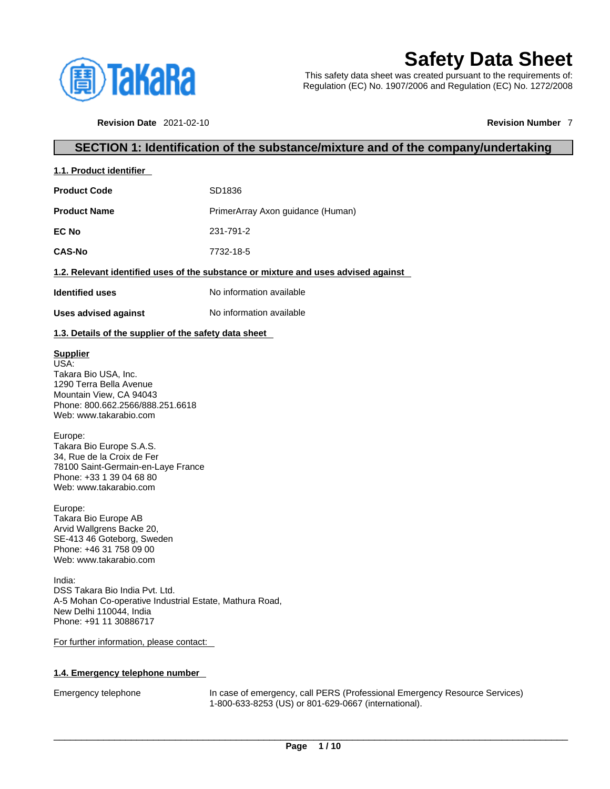

# **Safety Data Sheet**

This safety data sheet was created pursuant to the requirements of: Regulation (EC) No. 1907/2006 and Regulation (EC) No. 1272/2008

**Revision Date** 2021-02-10 **Revision Number** 7

## **SECTION 1: Identification of the substance/mixture and of the company/undertaking**

| 1.1. Product identifier |                                                                                    |
|-------------------------|------------------------------------------------------------------------------------|
| <b>Product Code</b>     | SD1836                                                                             |
| <b>Product Name</b>     | PrimerArray Axon guidance (Human)                                                  |
| EC No                   | 231-791-2                                                                          |
| <b>CAS-No</b>           | 7732-18-5                                                                          |
|                         | 1.2. Relevant identified uses of the substance or mixture and uses advised against |
| <b>Identified uses</b>  | No information available                                                           |
| Uses advised against    | No information available                                                           |

## **1.3. Details of the supplier of the safety data sheet**

## **Supplier**

USA: Takara Bio USA, Inc. 1290 Terra Bella Avenue Mountain View, CA 94043 Phone: 800.662.2566/888.251.6618 Web: www.takarabio.com

#### Europe:

Takara Bio Europe S.A.S. 34, Rue de la Croix de Fer 78100 Saint-Germain-en-Laye France Phone: +33 1 39 04 68 80 Web: www.takarabio.com

Europe:

Takara Bio Europe AB Arvid Wallgrens Backe 20, SE-413 46 Goteborg, Sweden Phone: +46 31 758 09 00 Web: www.takarabio.com

India: DSS Takara Bio India Pvt. Ltd. A-5 Mohan Co-operative Industrial Estate, Mathura Road, New Delhi 110044, India Phone: +91 11 30886717

#### For further information, please contact:

## **1.4. Emergency telephone number**

Emergency telephone In case of emergency, call PERS (Professional Emergency Resource Services) 1-800-633-8253 (US) or 801-629-0667 (international).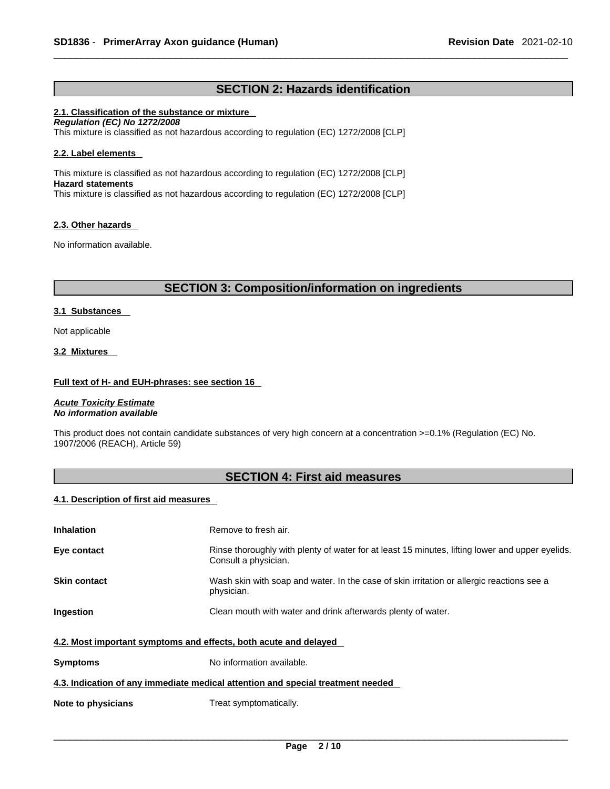# **SECTION 2: Hazards identification**

## **2.1. Classification of the substance or mixture**

*Regulation (EC) No 1272/2008*  This mixture is classified as not hazardous according to regulation (EC) 1272/2008 [CLP]

## **2.2. Label elements**

This mixture is classified as not hazardous according to regulation (EC) 1272/2008 [CLP] **Hazard statements** This mixture is classified as not hazardous according to regulation (EC) 1272/2008 [CLP]

## **2.3. Other hazards**

No information available.

## **SECTION 3: Composition/information on ingredients**

## **3.1 Substances**

Not applicable

#### **3.2 Mixtures**

## **Full text of H- and EUH-phrases: see section 16**

*Acute Toxicity Estimate No information available* 

This product does not contain candidate substances of very high concern at a concentration >=0.1% (Regulation (EC) No. 1907/2006 (REACH), Article 59)

# **SECTION 4: First aid measures**

## **4.1. Description of first aid measures**

| <b>Inhalation</b>                                                               | Remove to fresh air.                                                                                                    |  |
|---------------------------------------------------------------------------------|-------------------------------------------------------------------------------------------------------------------------|--|
| Eye contact                                                                     | Rinse thoroughly with plenty of water for at least 15 minutes, lifting lower and upper eyelids.<br>Consult a physician. |  |
| <b>Skin contact</b>                                                             | Wash skin with soap and water. In the case of skin irritation or allergic reactions see a<br>physician.                 |  |
| Ingestion                                                                       | Clean mouth with water and drink afterwards plenty of water.                                                            |  |
| 4.2. Most important symptoms and effects, both acute and delayed                |                                                                                                                         |  |
| <b>Symptoms</b>                                                                 | No information available.                                                                                               |  |
| 4.3. Indication of any immediate medical attention and special treatment needed |                                                                                                                         |  |
| Note to physicians                                                              | Treat symptomatically.                                                                                                  |  |
|                                                                                 |                                                                                                                         |  |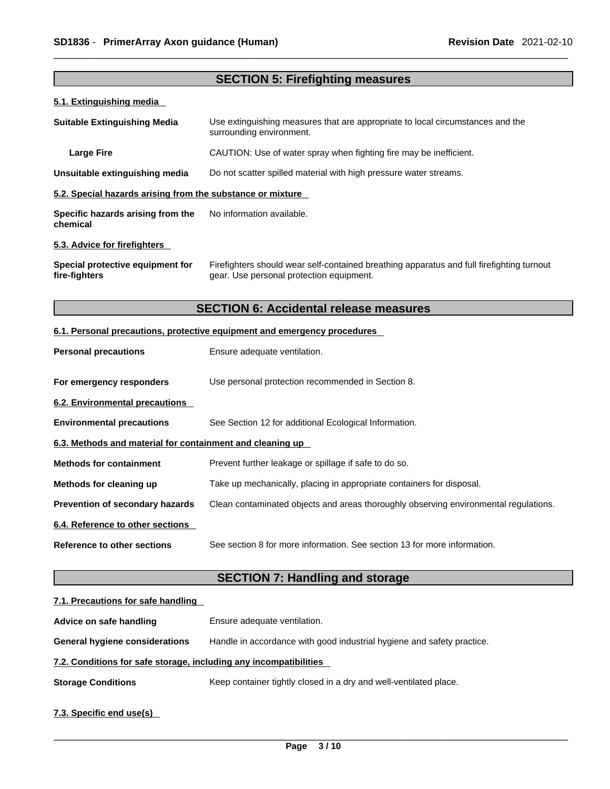|                                                            | <b>SECTION 5: Firefighting measures</b>                                                                                               |  |  |
|------------------------------------------------------------|---------------------------------------------------------------------------------------------------------------------------------------|--|--|
| 5.1. Extinguishing media                                   |                                                                                                                                       |  |  |
| <b>Suitable Extinguishing Media</b>                        | Use extinguishing measures that are appropriate to local circumstances and the<br>surrounding environment.                            |  |  |
| <b>Large Fire</b>                                          | CAUTION: Use of water spray when fighting fire may be inefficient.                                                                    |  |  |
| Unsuitable extinguishing media                             | Do not scatter spilled material with high pressure water streams.                                                                     |  |  |
| 5.2. Special hazards arising from the substance or mixture |                                                                                                                                       |  |  |
| Specific hazards arising from the<br>chemical              | No information available.                                                                                                             |  |  |
| 5.3. Advice for firefighters                               |                                                                                                                                       |  |  |
| Special protective equipment for<br>fire-fighters          | Firefighters should wear self-contained breathing apparatus and full firefighting turnout<br>gear. Use personal protection equipment. |  |  |
|                                                            | <b>SECTION 6: Accidental release measures</b>                                                                                         |  |  |
|                                                            | 6.1. Personal precautions, protective equipment and emergency procedures                                                              |  |  |
| <b>Personal precautions</b>                                | Ensure adequate ventilation.                                                                                                          |  |  |
| For emergency responders                                   | Use personal protection recommended in Section 8.                                                                                     |  |  |
| 6.2. Environmental precautions                             |                                                                                                                                       |  |  |
| <b>Environmental precautions</b>                           | See Section 12 for additional Ecological Information.                                                                                 |  |  |
| 6.3. Methods and material for containment and cleaning up  |                                                                                                                                       |  |  |
| <b>Methods for containment</b>                             | Prevent further leakage or spillage if safe to do so.                                                                                 |  |  |
| Methods for cleaning up                                    | Take up mechanically, placing in appropriate containers for disposal.                                                                 |  |  |
| Prevention of secondary hazards                            | Clean contaminated objects and areas thoroughly observing environmental regulations.                                                  |  |  |
| 6.4. Reference to other sections                           |                                                                                                                                       |  |  |
| <b>Reference to other sections</b>                         | See section 8 for more information. See section 13 for more information.                                                              |  |  |
|                                                            | <b>SECTION 7: Handling and storage</b>                                                                                                |  |  |
| 7.1. Precautions for safe handling                         |                                                                                                                                       |  |  |
| Advice on safe handling                                    | Ensure adequate ventilation.                                                                                                          |  |  |
| <b>General hygiene considerations</b>                      | Handle in accordance with good industrial hygiene and safety practice.                                                                |  |  |

# **7.2. Conditions for safe storage, including any incompatibilities**

**Storage Conditions** Keep container tightly closed in a dry and well-ventilated place.

# **7.3. Specific end use(s)**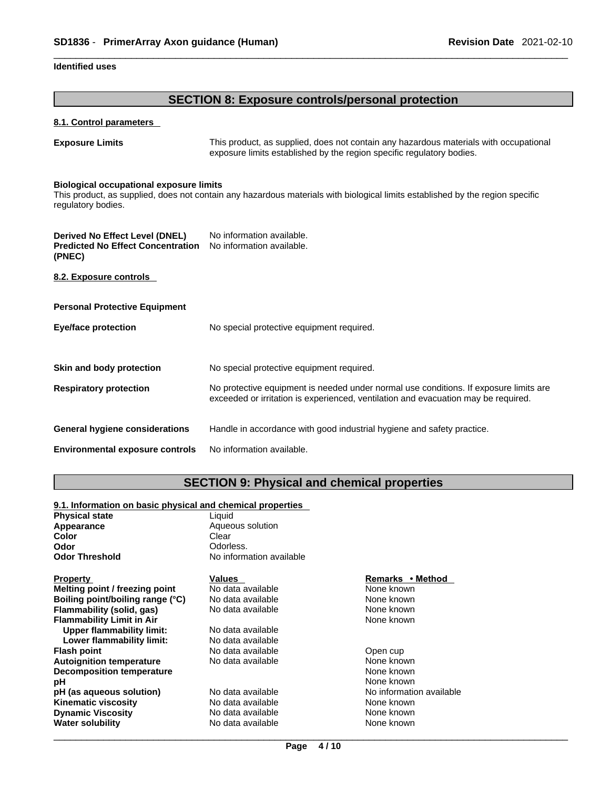## **Identified uses**

# **SECTION 8: Exposure controls/personal protection**

## **8.1. Control parameters**

**Exposure Limits** This product, as supplied, does not contain any hazardous materials with occupational exposure limits established by the region specific regulatory bodies.

#### **Biological occupational exposure limits**

This product, as supplied, does not contain any hazardous materials with biological limits established by the region specific regulatory bodies.

| Derived No Effect Level (DNEL)<br><b>Predicted No Effect Concentration</b><br>(PNEC) | No information available.<br>No information available.                                                                                                                      |
|--------------------------------------------------------------------------------------|-----------------------------------------------------------------------------------------------------------------------------------------------------------------------------|
| 8.2. Exposure controls                                                               |                                                                                                                                                                             |
| <b>Personal Protective Equipment</b>                                                 |                                                                                                                                                                             |
| Eye/face protection                                                                  | No special protective equipment required.                                                                                                                                   |
|                                                                                      |                                                                                                                                                                             |
| Skin and body protection                                                             | No special protective equipment required.                                                                                                                                   |
| <b>Respiratory protection</b>                                                        | No protective equipment is needed under normal use conditions. If exposure limits are<br>exceeded or irritation is experienced, ventilation and evacuation may be required. |
| <b>General hygiene considerations</b>                                                | Handle in accordance with good industrial hygiene and safety practice.                                                                                                      |
| <b>Environmental exposure controls</b>                                               | No information available.                                                                                                                                                   |

# **SECTION 9: Physical and chemical properties**

## **9.1. Information on basic physical and chemical properties**

| <b>Physical state</b>            | Liquid                   |                          |  |
|----------------------------------|--------------------------|--------------------------|--|
| Appearance                       | Aqueous solution         |                          |  |
| Color                            | Clear                    |                          |  |
| Odor                             | Odorless.                |                          |  |
| <b>Odor Threshold</b>            | No information available |                          |  |
| <b>Property</b>                  | Values                   | Remarks • Method         |  |
| Melting point / freezing point   | No data available        | None known               |  |
| Boiling point/boiling range (°C) | No data available        | None known               |  |
| Flammability (solid, gas)        | No data available        | None known               |  |
| <b>Flammability Limit in Air</b> |                          | None known               |  |
| Upper flammability limit:        | No data available        |                          |  |
| Lower flammability limit:        | No data available        |                          |  |
| <b>Flash point</b>               | No data available        | Open cup                 |  |
| <b>Autoignition temperature</b>  | No data available        | None known               |  |
| <b>Decomposition temperature</b> |                          | None known               |  |
| рH                               |                          | None known               |  |
| pH (as aqueous solution)         | No data available        | No information available |  |
| <b>Kinematic viscosity</b>       | No data available        | None known               |  |
| <b>Dynamic Viscosity</b>         | No data available        | None known               |  |
| <b>Water solubility</b>          | No data available        | None known               |  |
|                                  |                          |                          |  |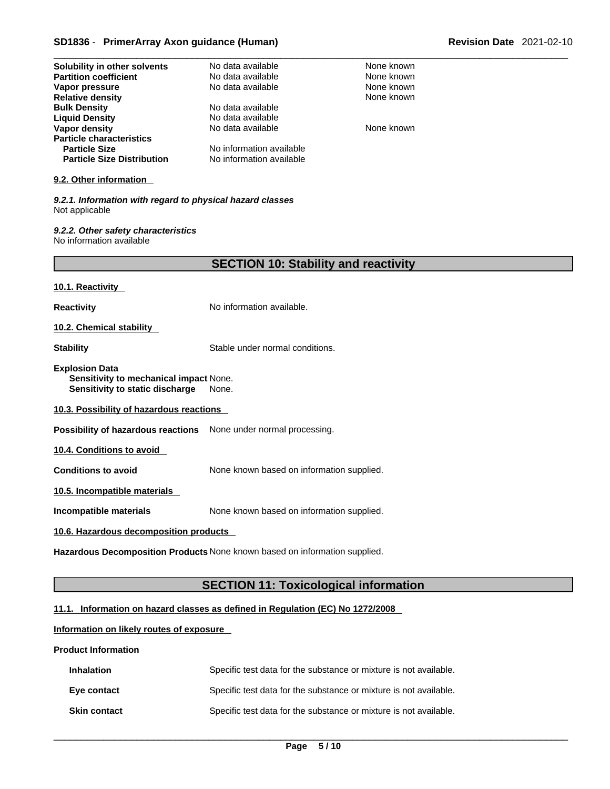# \_\_\_\_\_\_\_\_\_\_\_\_\_\_\_\_\_\_\_\_\_\_\_\_\_\_\_\_\_\_\_\_\_\_\_\_\_\_\_\_\_\_\_\_\_\_\_\_\_\_\_\_\_\_\_\_\_\_\_\_\_\_\_\_\_\_\_\_\_\_\_\_\_\_\_\_\_\_\_\_\_\_\_\_\_\_\_\_\_\_\_\_\_ **SD1836** - **PrimerArray Axon guidance (Human) Revision Date** 2021-02-10

| Solubility in other solvents                                                                       | No data available                            | None known |  |
|----------------------------------------------------------------------------------------------------|----------------------------------------------|------------|--|
| <b>Partition coefficient</b>                                                                       | No data available                            | None known |  |
| Vapor pressure                                                                                     | No data available                            | None known |  |
| <b>Relative density</b><br><b>Bulk Density</b>                                                     | No data available                            | None known |  |
| <b>Liquid Density</b>                                                                              | No data available                            |            |  |
| Vapor density                                                                                      | No data available                            | None known |  |
| <b>Particle characteristics</b>                                                                    |                                              |            |  |
| <b>Particle Size</b>                                                                               | No information available                     |            |  |
| <b>Particle Size Distribution</b>                                                                  | No information available                     |            |  |
| 9.2. Other information                                                                             |                                              |            |  |
| 9.2.1. Information with regard to physical hazard classes<br>Not applicable                        |                                              |            |  |
| 9.2.2. Other safety characteristics<br>No information available                                    |                                              |            |  |
|                                                                                                    | <b>SECTION 10: Stability and reactivity</b>  |            |  |
| 10.1. Reactivity                                                                                   |                                              |            |  |
| <b>Reactivity</b>                                                                                  | No information available.                    |            |  |
| 10.2. Chemical stability                                                                           |                                              |            |  |
| <b>Stability</b>                                                                                   | Stable under normal conditions.              |            |  |
| <b>Explosion Data</b><br>Sensitivity to mechanical impact None.<br>Sensitivity to static discharge | None.                                        |            |  |
| 10.3. Possibility of hazardous reactions                                                           |                                              |            |  |
| Possibility of hazardous reactions None under normal processing.                                   |                                              |            |  |
| 10.4. Conditions to avoid                                                                          |                                              |            |  |
| <b>Conditions to avoid</b>                                                                         | None known based on information supplied.    |            |  |
| 10.5. Incompatible materials                                                                       |                                              |            |  |
| Incompatible materials                                                                             | None known based on information supplied.    |            |  |
| 10.6. Hazardous decomposition products                                                             |                                              |            |  |
| Hazardous Decomposition Products None known based on information supplied.                         |                                              |            |  |
|                                                                                                    |                                              |            |  |
|                                                                                                    | <b>SECTION 11: Toxicological information</b> |            |  |

## **11.1. Information on hazard classes as defined in Regulation (EC) No 1272/2008**

## **Information on likely routes of exposure**

#### **Product Information**

| <b>Inhalation</b>   | Specific test data for the substance or mixture is not available. |
|---------------------|-------------------------------------------------------------------|
| Eye contact         | Specific test data for the substance or mixture is not available. |
| <b>Skin contact</b> | Specific test data for the substance or mixture is not available. |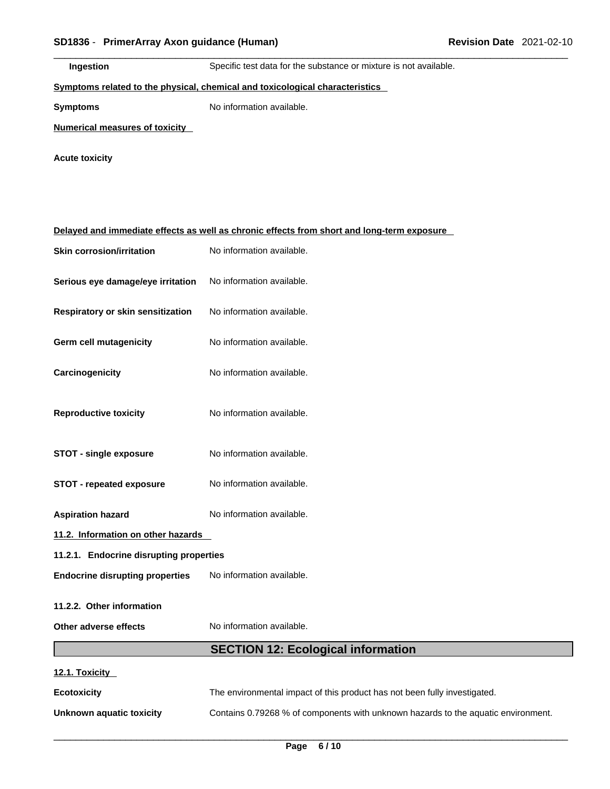| SD1836 - PrimerArray Axon guidance (Human) |                                                                                            | <b>Revision Date 2021-02-10</b> |  |
|--------------------------------------------|--------------------------------------------------------------------------------------------|---------------------------------|--|
| Ingestion                                  | Specific test data for the substance or mixture is not available.                          |                                 |  |
|                                            | Symptoms related to the physical, chemical and toxicological characteristics               |                                 |  |
| <b>Symptoms</b>                            | No information available.                                                                  |                                 |  |
| <b>Numerical measures of toxicity</b>      |                                                                                            |                                 |  |
| <b>Acute toxicity</b>                      |                                                                                            |                                 |  |
|                                            |                                                                                            |                                 |  |
|                                            |                                                                                            |                                 |  |
|                                            | Delayed and immediate effects as well as chronic effects from short and long-term exposure |                                 |  |
| <b>Skin corrosion/irritation</b>           | No information available.                                                                  |                                 |  |
| Serious eye damage/eye irritation          | No information available.                                                                  |                                 |  |
| Respiratory or skin sensitization          | No information available.                                                                  |                                 |  |
| <b>Germ cell mutagenicity</b>              | No information available.                                                                  |                                 |  |
| Carcinogenicity                            | No information available.                                                                  |                                 |  |
| <b>Reproductive toxicity</b>               | No information available.                                                                  |                                 |  |

- **STOT single exposure** No information available.
- **STOT repeated exposure** No information available.
- **Aspiration hazard** No information available.

**11.2. Information on other hazards** 

- **11.2.1. Endocrine disrupting properties**
- **Endocrine disrupting properties** No information available.

**11.2.2. Other information** 

**Other adverse effects** No information available.

# **SECTION 12: Ecological information**

| 12.1. Toxicity |  |
|----------------|--|
|                |  |

**Ecotoxicity The environmental impact of this product has not been fully investigated.** 

**Unknown aquatic toxicity** Contains 0.79268 % of components with unknown hazards to the aquatic environment.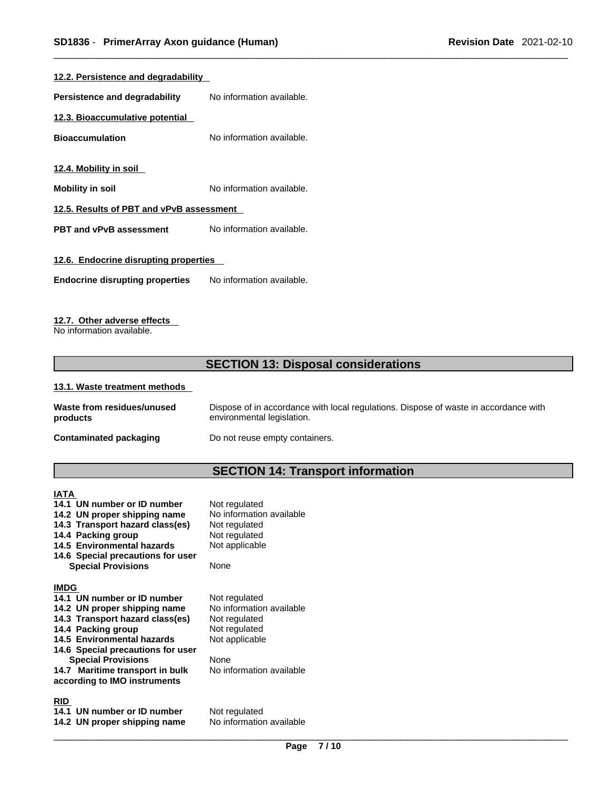| 12.2. Persistence and degradability      |                           |  |  |  |
|------------------------------------------|---------------------------|--|--|--|
| Persistence and degradability            | No information available. |  |  |  |
| 12.3. Bioaccumulative potential          |                           |  |  |  |
| <b>Bioaccumulation</b>                   | No information available. |  |  |  |
| 12.4. Mobility in soil                   |                           |  |  |  |
| <b>Mobility in soil</b>                  | No information available. |  |  |  |
| 12.5. Results of PBT and vPvB assessment |                           |  |  |  |
| <b>PBT and vPvB assessment</b>           | No information available. |  |  |  |
| 12.6. Endocrine disrupting properties    |                           |  |  |  |
| <b>Endocrine disrupting properties</b>   | No information available. |  |  |  |
|                                          |                           |  |  |  |

## **12.7. Other adverse effects**

No information available.

# **SECTION 13: Disposal considerations**

#### **13.1. Waste treatment methods**

| Waste from residues/unused    | Dispose of in accordance with local regulations. Dispose of waste in accordance with |
|-------------------------------|--------------------------------------------------------------------------------------|
| products                      | environmental legislation.                                                           |
| <b>Contaminated packaging</b> | Do not reuse empty containers.                                                       |

# **SECTION 14: Transport information**

**IATA 14.1 UN number or ID number** Not regulated<br>**14.2 UN proper shipping name** No information available **14.2 UN proper shipping name** No information<br>**14.3 Transport hazard class(es)** Not regulated **14.3 Transport hazard class(es)** Not regulated **14.4 Packing group** Not regulated **14.4 Packing group** 14.5 Environmental hazards Not applicable **14.6 Special precautions for user Special Provisions** None **IMDG 14.1 UN number or ID number** Not regulated<br>**14.2 UN proper shipping name** No information available **14.2 UN proper shipping name** No information<br>**14.3 Transport hazard class(es)** Not regulated **14.3 Transport hazard class(es) 14.4 Packing group Mot regulated** 14.5 Environmental hazards Not applicable **14.6 Special precautions for user Special Provisions** None **14.7 Maritime transport in bulk according to IMO instruments**

#### **RID**

**14.1 UN number or ID number** Not regulated<br>**14.2 UN proper shipping name** No information available **14.2 UN proper shipping name** 

No information available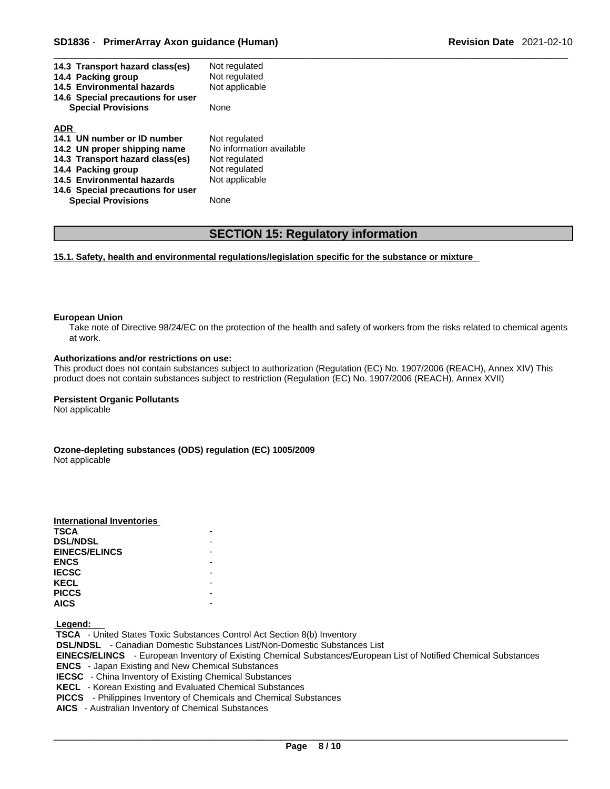| Not regulated<br>14.3 Transport hazard class(es)         |  |
|----------------------------------------------------------|--|
| Not regulated<br>14.4 Packing group                      |  |
| Not applicable<br>14.5 Environmental hazards             |  |
| 14.6 Special precautions for user                        |  |
| <b>Special Provisions</b><br>None                        |  |
|                                                          |  |
| <b>ADR</b>                                               |  |
| 14.1 UN number or ID number<br>Not regulated             |  |
| No information available<br>14.2 UN proper shipping name |  |
| 14.3 Transport hazard class(es)<br>Not regulated         |  |
| 14.4 Packing group<br>Not regulated                      |  |
|                                                          |  |
| 14.5 Environmental hazards<br>Not applicable             |  |
| 14.6 Special precautions for user                        |  |

# **SECTION 15: Regulatory information**

**15.1. Safety, health and environmental regulations/legislation specific for the substance or mixture**

#### **European Union**

Take note of Directive 98/24/EC on the protection of the health and safety of workers from the risks related to chemical agents at work.

#### **Authorizations and/or restrictions on use:**

This product does not contain substances subject to authorization (Regulation (EC) No. 1907/2006 (REACH), Annex XIV) This product does not contain substances subject to restriction (Regulation (EC) No. 1907/2006 (REACH), Annex XVII)

#### **Persistent Organic Pollutants**

Not applicable

**Ozone-depleting substances (ODS) regulation (EC) 1005/2009** Not applicable

| International Inventories |  |
|---------------------------|--|
| <b>TSCA</b>               |  |
| <b>DSL/NDSL</b>           |  |
| <b>EINECS/ELINCS</b>      |  |
| <b>ENCS</b>               |  |
| <b>IECSC</b>              |  |
| <b>KECL</b>               |  |
| <b>PICCS</b>              |  |
| <b>AICS</b>               |  |

 **Legend:** 

 **TSCA** - United States Toxic Substances Control Act Section 8(b) Inventory  **DSL/NDSL** - Canadian Domestic Substances List/Non-Domestic Substances List  **EINECS/ELINCS** - European Inventory of Existing Chemical Substances/European List of Notified Chemical Substances  **ENCS** - Japan Existing and New Chemical Substances  **IECSC** - China Inventory of Existing Chemical Substances  **KECL** - Korean Existing and Evaluated Chemical Substances  **PICCS** - Philippines Inventory of Chemicals and Chemical Substances  **AICS** - Australian Inventory of Chemical Substances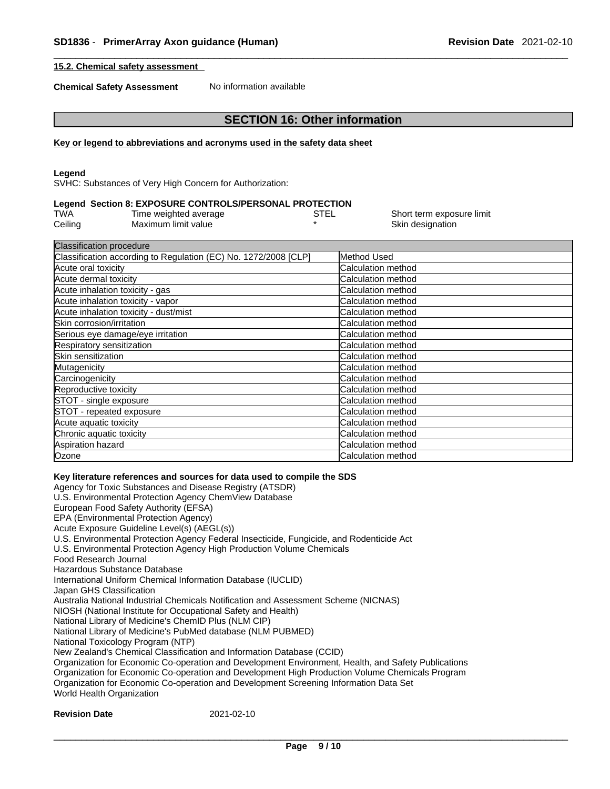Short term exposure limit

Skin designation

#### **15.2. Chemical safety assessment**

**Chemical Safety Assessment** No information available

## **SECTION 16: Other information**

#### **Key or legend to abbreviations and acronyms used in the safety data sheet**

#### **Legend**

SVHC: Substances of Very High Concern for Authorization:

#### **Legend Section 8: EXPOSURE CONTROLS/PERSONAL PROTECTION**

| TWA     | Time weighted average | STEL |
|---------|-----------------------|------|
| Ceiling | Maximum limit value   |      |

| <b>Classification procedure</b>                                 |                           |  |
|-----------------------------------------------------------------|---------------------------|--|
| Classification according to Regulation (EC) No. 1272/2008 [CLP] | Method Used               |  |
| Acute oral toxicity                                             | Calculation method        |  |
| Acute dermal toxicity                                           | Calculation method        |  |
| Acute inhalation toxicity - gas                                 | Calculation method        |  |
| Acute inhalation toxicity - vapor                               | Calculation method        |  |
| Acute inhalation toxicity - dust/mist                           | Calculation method        |  |
| Skin corrosion/irritation                                       | <b>Calculation method</b> |  |
| Serious eye damage/eye irritation                               | Calculation method        |  |
| Respiratory sensitization                                       | Calculation method        |  |
| Skin sensitization                                              | Calculation method        |  |
| Mutagenicity                                                    | Calculation method        |  |
| Carcinogenicity                                                 | Calculation method        |  |
| Reproductive toxicity                                           | Calculation method        |  |
| STOT - single exposure                                          | Calculation method        |  |
| STOT - repeated exposure                                        | Calculation method        |  |
| Acute aquatic toxicity                                          | Calculation method        |  |
| Chronic aquatic toxicity                                        | Calculation method        |  |
| Aspiration hazard                                               | Calculation method        |  |
| Ozone                                                           | Calculation method        |  |

#### **Key literature references and sources for data used to compile the SDS**

Agency for Toxic Substances and Disease Registry (ATSDR) U.S. Environmental Protection Agency ChemView Database European Food Safety Authority (EFSA) EPA (Environmental Protection Agency) Acute Exposure Guideline Level(s) (AEGL(s)) U.S. Environmental Protection Agency Federal Insecticide, Fungicide, and Rodenticide Act U.S. Environmental Protection Agency High Production Volume Chemicals Food Research Journal Hazardous Substance Database International Uniform Chemical Information Database (IUCLID) Japan GHS Classification Australia National Industrial Chemicals Notification and Assessment Scheme (NICNAS) NIOSH (National Institute for Occupational Safety and Health) National Library of Medicine's ChemID Plus (NLM CIP) National Library of Medicine's PubMed database (NLM PUBMED) National Toxicology Program (NTP) New Zealand's Chemical Classification and Information Database (CCID) Organization for Economic Co-operation and Development Environment, Health, and Safety Publications Organization for Economic Co-operation and Development High Production Volume Chemicals Program Organization for Economic Co-operation and Development Screening Information Data Set World Health Organization

## **Revision Date** 2021-02-10